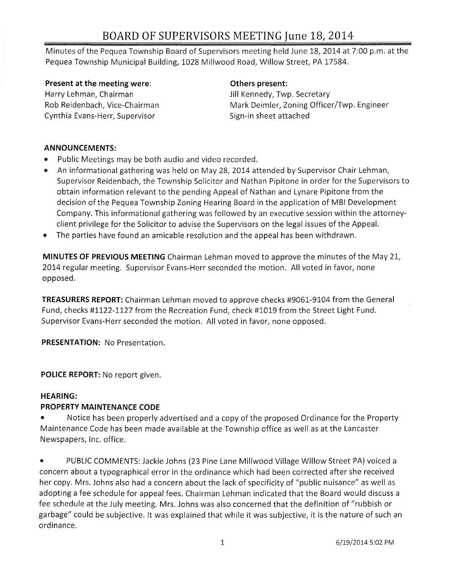# **BOARD OF SUPERVISORS MEETING June 18,2014**

Minutes of the Pequea Township Board of Supervisors meeting held June 18, 2014 at 7:00 p.m. at the Pequea Township Municipal Building, 1028 Millwood Road, Willow Street, PA 17584.

## **Present at the meeting were:**

Harry Lehman, Chairman Rob Reidenbach, Vice-Chairman Cynthia Evans-Herr, Supervisor

### **Others present:**

Jill Kennedy, Twp. Secretary Mark Deimler, Zoning Officer/Twp. Engineer Sign-in sheet attached

## **ANNOUNCEMENTS:**

- Public Meetings may be both audio and video recorded.
- An informational gathering was held on May 28, 2014 attended by Supervisor Chair Lehman, Supervisor Reidenbach, the Township Solicitor and Nathan Pipitone in order for the Supervisors to obtain information relevant to the pending Appeal of Nathan and Lynare Pipitone from the decision of the Pequea Township Zoning Hearing Board in the application of MBI Development Company. This informational gathering was followed by an executive session within the attorneyclient privilege for the Solicitor to advise the Supervisors on the legal issues of the Appeal.
- The parties have found an amicable resolution and the appeal has been withdrawn.

**MINUTES OF PREVIOUS MEETING** Chairman Lehman moved to approve the minutes of the May 21, 2014 regular meeting. Supervisor Evans-Herr seconded the motion. All voted in favor, none opposed.

**TREASURERS REPORT:** Chairman Lehman moved to approve checks #9061-9104 from the General Fund, checks #1122-1127 from the Recreation Fund, check #1019 from the Street Light Fund. Supervisor Evans-Herr seconded the motion. All voted in favor, none opposed.

**PRESENTATION:** No Presentation.

**POLICE REPORT:** No report given.

#### **HEARING:**

# **PROPERTY MAINTENANCE CODE**

• Notice has been properly advertised and a copy of the proposed Ordinance for the Property Maintenance Code has been made available at the Township office as well as at the Lancaster Newspapers, Inc. office.

PUBLIC COMMENTS: Jackie Johns (23 Pine Lane Millwood Village Willow Street PA) voiced a concern about a typographical error in the ordinance which had been corrected after she received her copy. Mrs. Johns also had a concern about the lack of specificity of "public nuisance" as well as adopting a fee schedule for appeal fees. Chairman Lehman indicated that the Board would discuss a fee schedule at the July meeting. Mrs. Johns was also concerned that the definition of "rubbish or garbage" could be subjective. It was explained that while it was subjective, it is the nature of such an ordinance.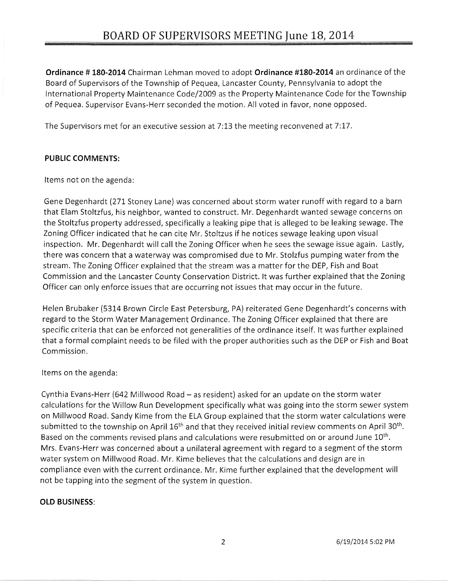**Ordinance # 180-2014** Chairman Lehman moved to adopt **Ordinance #180-2014** an ordinance of the Board of Supervisors of the Township of Pequea, Lancaster County, Pennsylvania to adopt the International Property Maintenance Code/2009 as the Property Maintenance Code for the Township of Pequea. Supervisor Evans-Herr seconded the motion. All voted in favor, none opposed.

The Supervisors met for an executive session at 7:13 the meeting reconvened at 7:17.

## **PUBLIC COMMENTS:**

Items not on the agenda:

Gene Degenhardt (271 Stoney Lane) was concerned about storm water runoff with regard to a barn that Elam Stoltzfus, his neighbor, wanted to construct. Mr. Degenhardt wanted sewage concerns on the Stoltzfus property addressed, specifically a leaking pipe that is alleged to be leaking sewage. The Zoning Officer indicated that he can cite Mr. Stoltzus if he notices sewage leaking upon visual inspection. Mr. Degenhardt will call the Zoning Officer when he sees the sewage issue again. Lastly, there was concern that a waterway was compromised due to Mr. Stolzfus pumping water from the stream. The Zoning Officer explained that the stream was a matter for the DEP, Fish and Boat Commission and the Lancaster County Conservation District. It was further explained that the Zoning Officer can only enforce issues that are occurring not issues that may occur in the future.

Helen Brubaker (5314 Brown Circle East Petersburg, PA) reiterated Gene Degenhardt's concerns with regard to the Storm Water Management Ordinance. The Zoning Officer explained that there are specific criteria that can be enforced not generalities of the ordinance itself. It was further explained that a formal complaint needs to be filed with the proper authorities such as the DEP or Fish and Boat Commission.

Items on the agenda:

Cynthia Evans-Herr (642 Millwood Road - as resident) asked for an update on the storm water calculations for the Willow Run Development specifically what was going into the storm sewer system on Millwood Road. Sandy Kime from the ELA Group explained that the storm water calculations were submitted to the township on April 16<sup>th</sup> and that they received initial review comments on April 30<sup>th</sup>. Based on the comments revised plans and calculations were resubmitted on or around June 10<sup>th</sup>. Mrs. Evans-Herr was concerned about a unilateral agreement with regard to a segment of the storm water system on Millwood Road. Mr. Kime believes that the calculations and design are in compliance even with the current ordinance. Mr. Kime further explained that the development will not be tapping into the segment of the system in question.

#### **OLD BUSINESS:**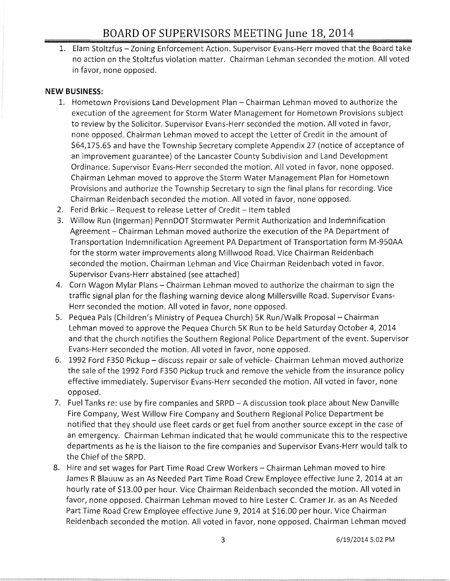1. Elam Stoltzfus - Zoning Enforcement Action. Supervisor Evans-Herr moved that the Board take no action on the Stoltzfus violation matter. Chairman Lehman seconded the motion. All voted in favor, none opposed.

# **NEW BUSINESS:**

- 1. Hometown Provisions Land Development Plan Chairman Lehman moved to authorize the execution of the agreement for Storm Water Management for Hometown Provisions subject to review by the Solicitor. Supervisor Evans-Herr seconded the motion. All voted in favor, none opposed. Chairman Lehman moved to accept the Letter of Credit in the amount of \$64,175.65 and have the Township Secretary complete Appendix 27 (notice of acceptance of an improvement guarantee) of the Lancaster County Subdivision and Land Development Ordinance. Supervisor Evans-Herr seconded the motion. All voted in favor, none opposed. Chairman Lehman moved to approve the Storm Water Management Plan for Hometown Provisions and authorize the Township Secretary to sign the final plans for recording. Vice Chairman Reidenbach seconded the motion. All voted in favor, none opposed.
- 2. Ferid Brkic Request to release Letter of Credit Item tabled
- 3. Willow Run (Ingerman) PennDOT Stormwater Permit Authorization and Indemnification Agreement - Chairman Lehman moved authorize the execution of the PA Department of Transportation Indemnification Agreement PA Department of Transportation form M-950AA for the storm water improvements along Millwood Road. Vice Chairman Reidenbach seconded the motion. Chairman Lehman and Vice Chairman Reidenbach voted in favor. Supervisor Evans-Herr abstained (see attached)
- 4. Corn Wagon Mylar Plans Chairman Lehman moved to authorize the chairman to sign the traffic signal plan for the flashing warning device along Millersville Road. Supervisor Evans-Herr seconded the motion. All voted in favor, none opposed.
- 5. Pequea Pals (Children's Ministry of Pequea Church) 5K Run/Walk Proposal Chairman Lehman moved to approve the Pequea Church 5K Run to be held Saturday October 4, 2014 and that the church notifies the Southern Regional Police Department of the event. Supervisor Evans-Herr seconded the motion. All voted in favor, none opposed.
- 6. 1992 Ford F350 Pickup discuss repair or sale of vehicle- Chairman Lehman moved authorize the sale of the 1992 Ford F350 Pickup truck and remove the vehicle from the insurance policy effective immediately. Supervisor Evans-Herr seconded the motion. All voted in favor, none opposed.
- 7. Fuel Tanks re: use by fire companies and SRPD A discussion took place about New Danville Fire Company, West Willow Fire Company and Southern Regional Police Department be notified that they should use fleet cards or get fuel from another source except in the case of an emergency. Chairman Lehman indicated that he would communicate this to the respective departments as he is the liaison to the fire companies and Supervisor Evans-Herr would talk to the Chief of the SRPD.
- 8. Hire and set wages for Part Time Road Crew Workers Chairman Lehman moved to hire James R Blauuw as an As Needed Part Time Road Crew Employee effective June 2, 2014 at an hourly rate of \$13.00 per hour. Vice Chairman Reidenbach seconded the motion. All voted in favor, none opposed. Chairman Lehman moved to hire Lester C. Cramer Jr. as an As Needed Part Time Road Crew Employee effective June 9, 2014 at \$16.00 per hour. Vice Chairman Reidenbach seconded the motion. All voted in favor, none opposed. Chairman Lehman moved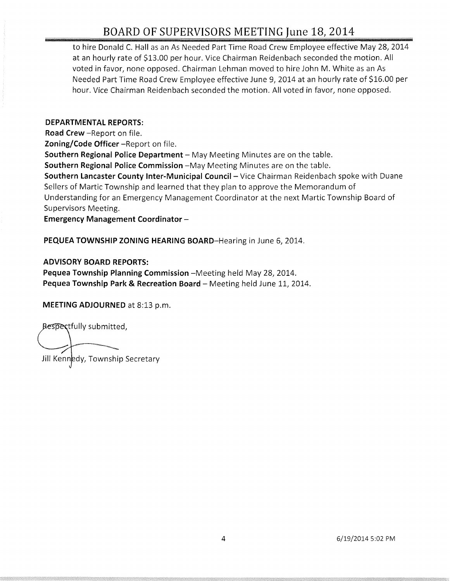# BOARD OF SUPERVISORS MEETING June 18, 2014

to hire Donald C. Hall as an As Needed Part Time Road Crew Employee effective May 28, 2014 at an hourly rate of \$13.00 per hour. Vice Chairman Reidenbach seconded the motion. All voted in favor, none opposed. Chairman Lehman moved to hire John M. White as an As Needed Part Time Road Crew Employee effective June 9, 2014 at an hourly rate of \$16.00 per hour. Vice Chairman Reidenbach seconded the motion. All voted in favor, none opposed.

#### DEPARTMENTAL REPORTS:

Road Crew -Report on file.

Zoning/Code Officer -Report on file.

Southern Regional Police Department - May Meeting Minutes are on the table.

Southern Regional Police Commission -May Meeting Minutes are on the table.

Southern Lancaster County Inter-Municipal Council - Vice Chairman Reidenbach spoke with Duane Sellers of Martie Township and learned that they plan to approve the Memorandum of Understanding for an Emergency Management Coordinator at the next Martie Township Board of Supervisors Meeting.

Emergency Management Coordinator -

PEQUEA TOWNSHIP ZONING HEARING BOARD-Hearing in June 6, 2014.

#### ADVISORY BOARD REPORTS:

Pequea Township Planning Commission -Meeting held May 28, 2014. Pequea Township Park & Recreation Board - Meeting held June 11, 2014.

MEETING ADJOURNED at 8:13 p.m.

Respectfully submitted,

Jill Kennedy, Township Secretary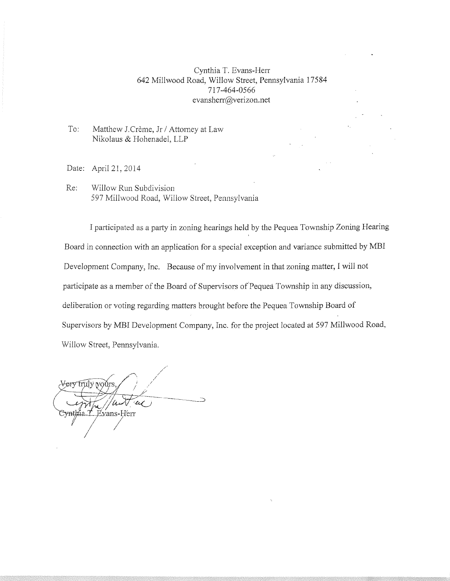#### Cynthia T. Evans-Herr 642 Millwood Road, Willow Street, Pennsylvania 17584 717-464-0566 evansherr@verizon.net

#### To: Matthew J.Crème, Jr / Attorney at Law Nikolaus & Hohenadel, LLP

Date: Apri121,2014

Re: Willow Run Subdivision 597 Millwood Road, Willow Street, Pennsylvania

I participated as a party in zoning hearings held by the Pequea Township Zoning Hearing Board in connection with an application for a special exception and variance submitted by MBl Development Company, Inc. Because of my involvement in that zoning matter, I will not participate as a member of the Board of Supervisors of Pequea Township in any discussion, deliberation or voting regarding matters brought before the Pequea Township Board of Supervisors by MBI Development Company, Inc. for the project located at 597 Millwood Road, Willow Street, Pennsylvania.

<del>Very tr</del>uly yours Evans-Herr